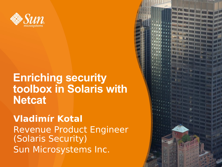

#### **Enriching security toolbox in Solaris with Netcat**

#### **Vladimír Kotal** Revenue Product Engineer (Solaris Security) Sun Microsystems Inc.

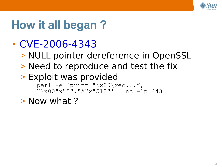

## **How it all began ?**

#### $\cdot$  [CVE-2006-4343](http://cve.mitre.org/cgi-bin/cvename.cgi?name=CVE-2006-4343)

- > NULL pointer dereference in OpenSSL
- > Need to reproduce and test the fix
- > Exploit was provided
	- perl -e 'print "\x80\xec...", "\x00"x"5","A"x"512"' | nc -lp 443

#### > Now what ?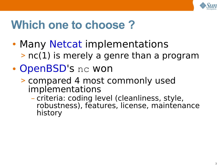

## **Which one to choose ?**

- Many [Netcat](http://en.wikipedia.org/wiki/Netcat) implementations > nc(1) is merely a genre than a program
- [OpenBSD](http://www.openbsd.org/)'s nc won
	- > compared 4 most commonly used implementations
		- criteria: coding level (cleanliness, style, robustness), features, license, maintenance history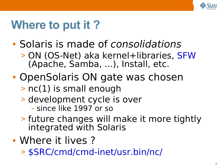

## **Where to put it ?**

- Solaris is made of consolidations
	- > ON (OS-Net) aka kernel+libraries, [SFW](http://opensolaris.org/os/project/sfwnv/) (Apache, Samba, ...), Install, etc.
- OpenSolaris ON gate was chosen
	- > nc(1) is small enough
	- > development cycle is over – since like 1997 or so
	- > future changes will make it more tightly integrated with Solaris
- Where it lives?
	- > [\\$SRC/cmd/cmd-inet/usr.bin/nc/](http://src.opensolaris.org/source/xref/onnv/onnv-gate/usr/src/cmd/cmd-inet/usr.bin/nc/)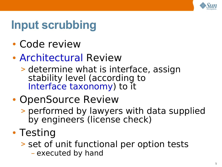

## **Input scrubbing**

- Code review
- [Architectural](http://opensolaris.org/os/community/arc/) Review
	- > determine what is interface, assign stability level (according to [Interface taxonomy\)](http://opensolaris.org/os/community/arc/policies/interface-taxonomy/) to it

### • OpenSource Review

- > performed by lawyers with data supplied by engineers (license check)
- Testing
	- > set of unit functional per option tests
		- executed by hand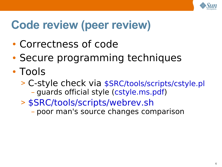

# **Code review (peer review)**

- Correctness of code
- Secure programming techniques
- Tools
	- > C-style check via [\\$SRC/tools/scripts/cstyle.pl](http://src.opensolaris.org/source/xref/onnv/onnv-gate/usr/src/tools/scripts/cstyle.pl) – guards official style [\(cstyle.ms.pdf\)](http://opensolaris.org/os/community/documentation/getting_started_docs/cstyle.ms.pdf)
	- > [\\$SRC/tools/scripts/webrev.sh](http://src.opensolaris.org/source/xref/onnv/onnv-gate/usr/src/tools/scripts/webrev.sh)
		- poor man's source changes comparison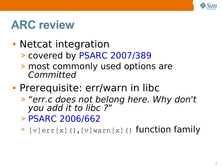

## **ARC review**

- Netcat integration
	- > covered by [PSARC 2007/389](http://opensolaris.org/os/community/arc/caselog/2007/389/)
	- > most commonly used options are Committed
- Prerequisite: err/warn in libc
	- > "err.c does not belong here. Why don't you add it to libc ?"
	- > [PSARC 2006/662](http://opensolaris.org/os/community/arc/caselog/2006/662/)
	- $\geq$  [v]err[x](),[v]warn[x]() function family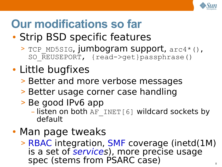

# **Our modifications so far**

- Strip BSD specific features
	- > TCP MD5SIG, jumbogram support, arc4\*(), SO REUSEPORT, {read->get}passphrase()
- Little bugfixes
	- > Better and more verbose messages
	- > Better usage corner case handling
	- > Be good IPv6 app
		- $-$  listen on both AF INET[6] wildcard sockets by default
- Man page tweaks
	- > [RBAC](http://opensolaris.org/os/community/security/projects/rbac/) integration, [SMF](http://opensolaris.org/os/community/smf/) coverage (inetd(1M) is a set of [services](http://www.sun.com/bigadmin/content/selfheal/smf-quickstart.jsp)), more precise usage spec (stems from PSARC case)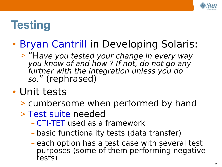

## **Testing**

### • [Bryan Cantrill](http://blogs.sun.com/bmc/) in Developing Solaris:

> "Have you tested your change in every way you know of and how ? If not, do not go any further with the integration unless you do so." (rephrased)

#### • Unit tests

- > cumbersome when performed by hand
- > [Test suite](http://www.opensolaris.org/os/community/testing/) needed
	- [CTI-TET](http://www.opensolaris.org/os/community/testing/testsuites/ctifortet/) used as a framework
	- basic functionality tests (data transfer)
	- each option has a test case with several test purposes (some of them performing negative tests)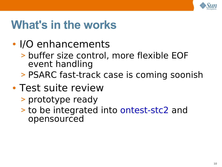

### **What's in the works**

- I/O enhancements
	- > buffer size control, more flexible EOF event handling
	- > PSARC fast-track case is coming soonish
- Test suite review
	- > prototype ready
	- > to be integrated into [ontest-stc2](http://src.opensolaris.org/source/xref/test/ontest-stc2/) and opensourced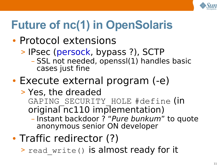

# **Future of nc(1) in OpenSolaris**

### • Protocol extensions

- > IPsec [\(persock,](http://blogs.sun.com/danmcd/entry/put_ipsec_to_work_in) bypass ?), SCTP
	- SSL not needed, openssl(1) handles basic cases just fine

### • Execute external program (-e)

- > Yes, the dreaded GAPING SECURITY HOLE #define (in  $originalTnc110$  implementation)
	- Instant backdoor ? "Pure bunkum" to quote anonymous senior ON developer
- Traffic redirector (?)
	- > read write() is almost ready for it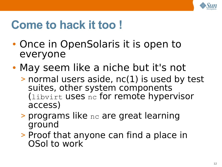

## **Come to hack it too !**

- Once in OpenSolaris it is open to everyone
- May seem like a niche but it's not
	- > normal users aside, nc(1) is used by test suites, other system components (libvirt uses nc for remote hypervisor access)
	- > programs like nc are great learning ground
	- > Proof that anyone can find a place in OSol to work